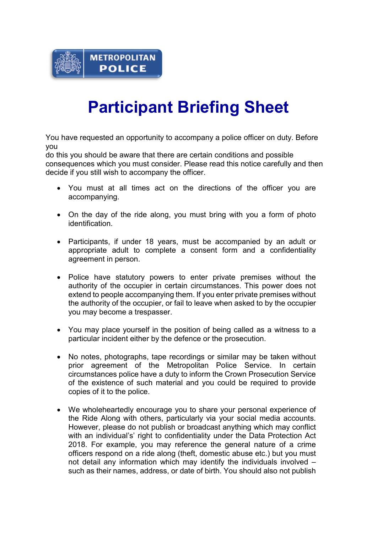

## Participant Briefing Sheet

 You have requested an opportunity to accompany a police officer on duty. Before you

you<br>do this you should be aware that there are certain conditions and possible consequences which you must consider. Please read this notice carefully and then decide if you still wish to accompany the officer.

- You must at all times act on the directions of the officer you are accompanying.
- On the day of the ride along, you must bring with you a form of photo identification.
- Participants, if under 18 years, must be accompanied by an adult or appropriate adult to complete a consent form and a confidentiality agreement in person.
- Police have statutory powers to enter private premises without the authority of the occupier in certain circumstances. This power does not extend to people accompanying them. If you enter private premises without the authority of the occupier, or fail to leave when asked to by the occupier you may become a trespasser.
- You may place yourself in the position of being called as a witness to a particular incident either by the defence or the prosecution.
- No notes, photographs, tape recordings or similar may be taken without prior agreement of the Metropolitan Police Service. In certain circumstances police have a duty to inform the Crown Prosecution Service of the existence of such material and you could be required to provide copies of it to the police.
- We wholeheartedly encourage you to share your personal experience of the Ride Along with others, particularly via your social media accounts. However, please do not publish or broadcast anything which may conflict with an individual's' right to confidentiality under the Data Protection Act 2018. For example, you may reference the general nature of a crime officers respond on a ride along (theft, domestic abuse etc.) but you must not detail any information which may identify the individuals involved – such as their names, address, or date of birth. You should also not publish